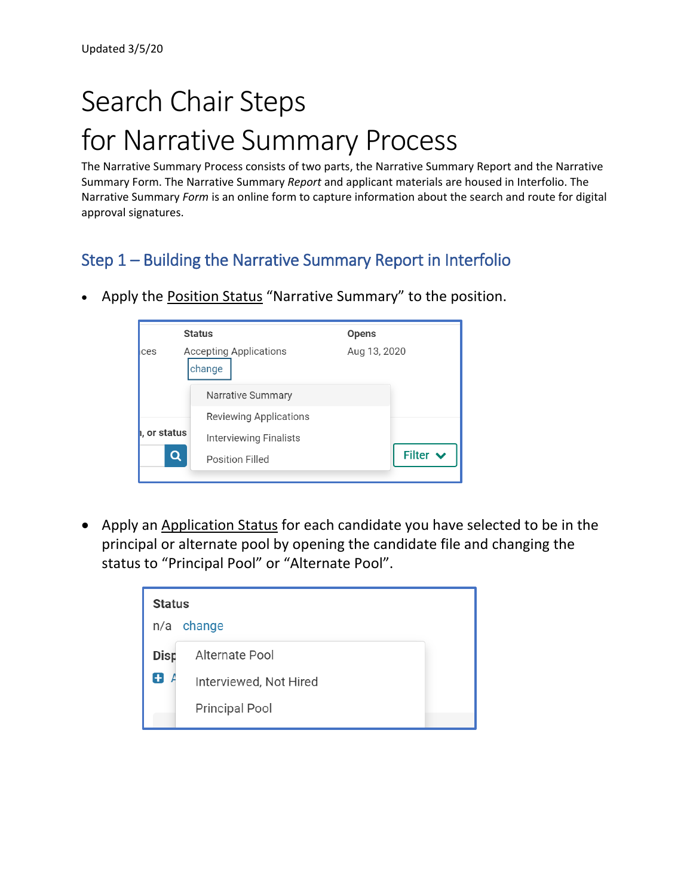# Search Chair Steps for Narrative Summary Process

The Narrative Summary Process consists of two parts, the Narrative Summary Report and the Narrative Summary Form. The Narrative Summary *Report* and applicant materials are housed in Interfolio. The Narrative Summary *Form* is an online form to capture information about the search and route for digital approval signatures.

## Step 1 – Building the Narrative Summary Report in Interfolio

• Apply the **Position Status** "Narrative Summary" to the position.

|              | <b>Status</b>                           | <b>Opens</b>  |
|--------------|-----------------------------------------|---------------|
| ces          | <b>Accepting Applications</b><br>change | Aug 13, 2020  |
|              | Narrative Summary                       |               |
|              | <b>Reviewing Applications</b>           |               |
| ı, or status | <b>Interviewing Finalists</b>           |               |
|              | Position Filled                         | Filter $\vee$ |
|              |                                         |               |

• Apply an Application Status for each candidate you have selected to be in the principal or alternate pool by opening the candidate file and changing the status to "Principal Pool" or "Alternate Pool".

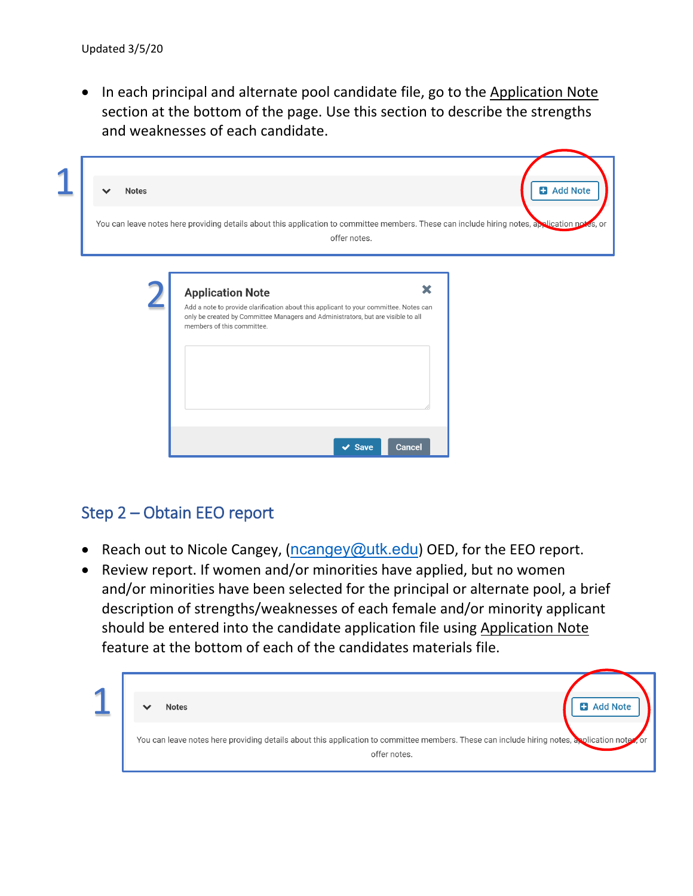• In each principal and alternate pool candidate file, go to the Application Note section at the bottom of the page. Use this section to describe the strengths and weaknesses of each candidate.

| <b>Notes</b>                                                                                                                                  |                                                                                                                                                                           |              | <b>B</b> Add Note |
|-----------------------------------------------------------------------------------------------------------------------------------------------|---------------------------------------------------------------------------------------------------------------------------------------------------------------------------|--------------|-------------------|
| You can leave notes here providing details about this application to committee members. These can include hiring notes, application notes, or |                                                                                                                                                                           |              |                   |
|                                                                                                                                               |                                                                                                                                                                           | offer notes. |                   |
|                                                                                                                                               |                                                                                                                                                                           |              |                   |
| <b>Application Note</b>                                                                                                                       |                                                                                                                                                                           | ×            |                   |
| members of this committee.                                                                                                                    | Add a note to provide clarification about this applicant to your committee. Notes can<br>only be created by Committee Managers and Administrators, but are visible to all |              |                   |
|                                                                                                                                               |                                                                                                                                                                           |              |                   |
|                                                                                                                                               |                                                                                                                                                                           |              |                   |
|                                                                                                                                               |                                                                                                                                                                           |              |                   |
|                                                                                                                                               |                                                                                                                                                                           |              |                   |
|                                                                                                                                               |                                                                                                                                                                           |              |                   |

### Step 2 – Obtain EEO report

- Reach out to Nicole Cangey,  $(n \text{cangey} \textcircled{a}$ utk.edu) OED, for the EEO report.
- Review report. If women and/or minorities have applied, but no women and/or minorities have been selected for the principal or alternate pool, a brief description of strengths/weaknesses of each female and/or minority applicant should be entered into the candidate application file using Application Note feature at the bottom of each of the candidates materials file.

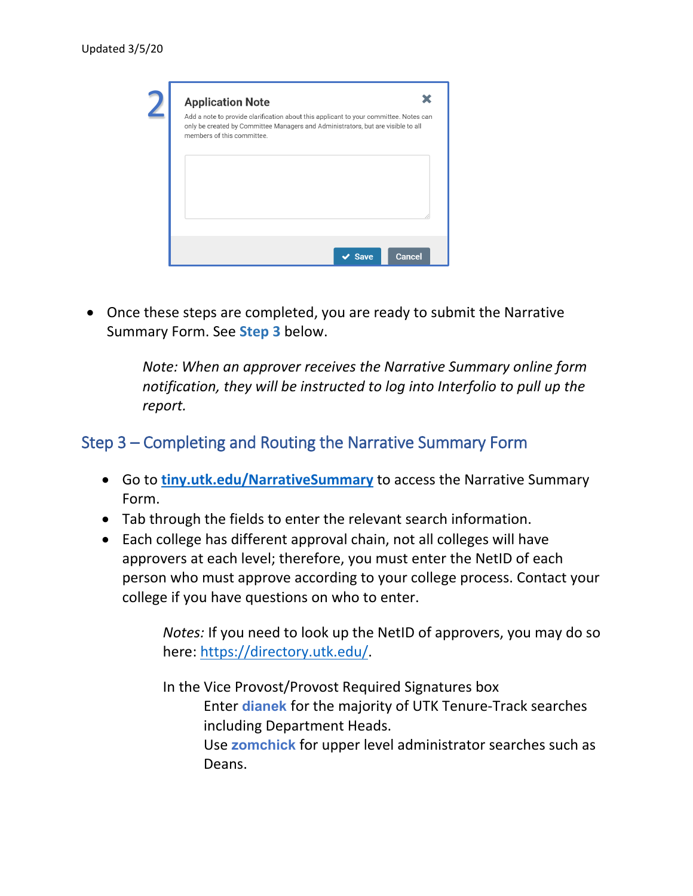| Add a note to provide clarification about this applicant to your committee. Notes can<br>only be created by Committee Managers and Administrators, but are visible to all |  |  |
|---------------------------------------------------------------------------------------------------------------------------------------------------------------------------|--|--|
| members of this committee.                                                                                                                                                |  |  |
|                                                                                                                                                                           |  |  |
|                                                                                                                                                                           |  |  |
|                                                                                                                                                                           |  |  |
|                                                                                                                                                                           |  |  |
|                                                                                                                                                                           |  |  |
|                                                                                                                                                                           |  |  |
|                                                                                                                                                                           |  |  |

• Once these steps are completed, you are ready to submit the Narrative Summary Form. See **Step 3** below.

> *Note: When an approver receives the Narrative Summary online form notification, they will be instructed to log into Interfolio to pull up the report.*

#### Step 3 – Completing and Routing the Narrative Summary Form

- Go to **[tiny.utk.edu/NarrativeSummary](https://tiny.utk.edu/NarrativeSummary)** to access the Narrative Summary Form.
- Tab through the fields to enter the relevant search information.
- Each college has different approval chain, not all colleges will have approvers at each level; therefore, you must enter the NetID of each person who must approve according to your college process. Contact your college if you have questions on who to enter.

*Notes:* If you need to look up the NetID of approvers, you may do so here: [https://directory.utk.edu/.](https://directory.utk.edu/)

In the Vice Provost/Provost Required Signatures box Enter **dianek** for the majority of UTK Tenure-Track searches including Department Heads. Use **zomchick** for upper level administrator searches such as Deans.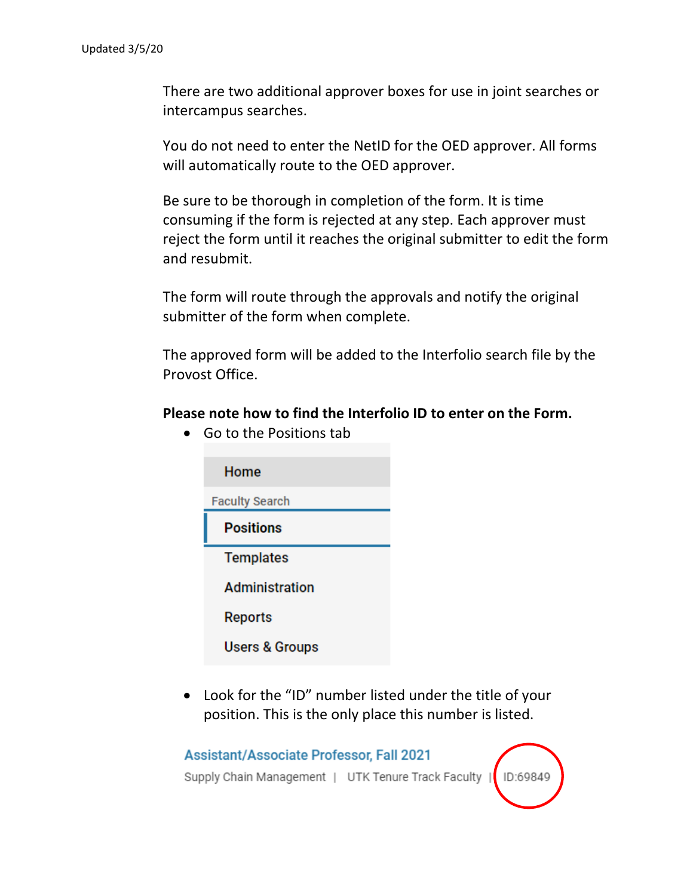There are two additional approver boxes for use in joint searches or intercampus searches.

You do not need to enter the NetID for the OED approver. All forms will automatically route to the OED approver.

Be sure to be thorough in completion of the form. It is time consuming if the form is rejected at any step. Each approver must reject the form until it reaches the original submitter to edit the form and resubmit.

The form will route through the approvals and notify the original submitter of the form when complete.

The approved form will be added to the Interfolio search file by the Provost Office.

#### **Please note how to find the Interfolio ID to enter on the Form.**

Home **Faculty Search Positions Templates** Administration **Reports Users & Groups** 

• Go to the Positions tab

• Look for the "ID" number listed under the title of your position. This is the only place this number is listed.

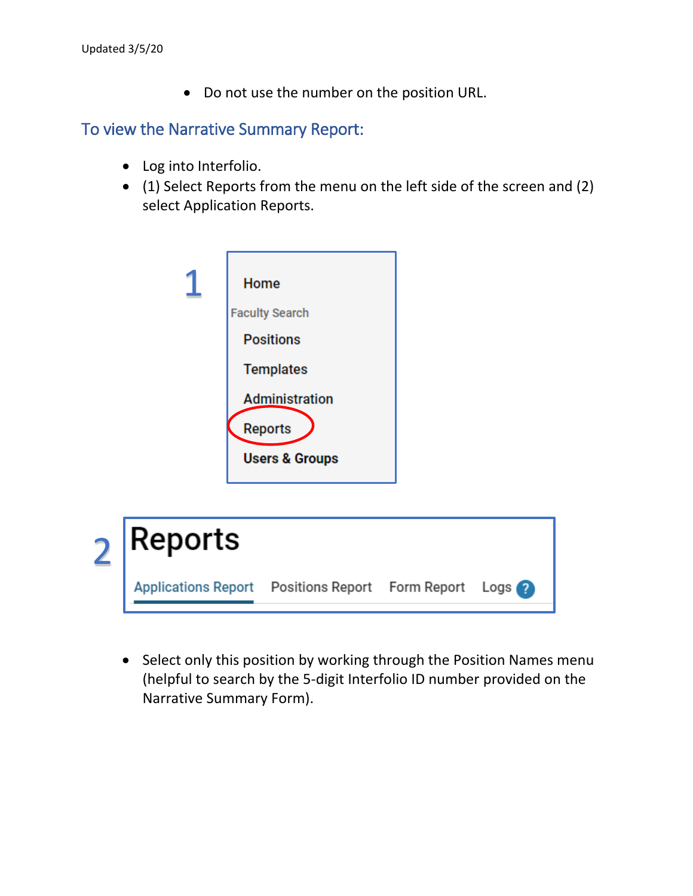• Do not use the number on the position URL.

#### To view the Narrative Summary Report:

- Log into Interfolio.
- (1) Select Reports from the menu on the left side of the screen and (2) select Application Reports.





• Select only this position by working through the Position Names menu (helpful to search by the 5-digit Interfolio ID number provided on the Narrative Summary Form).